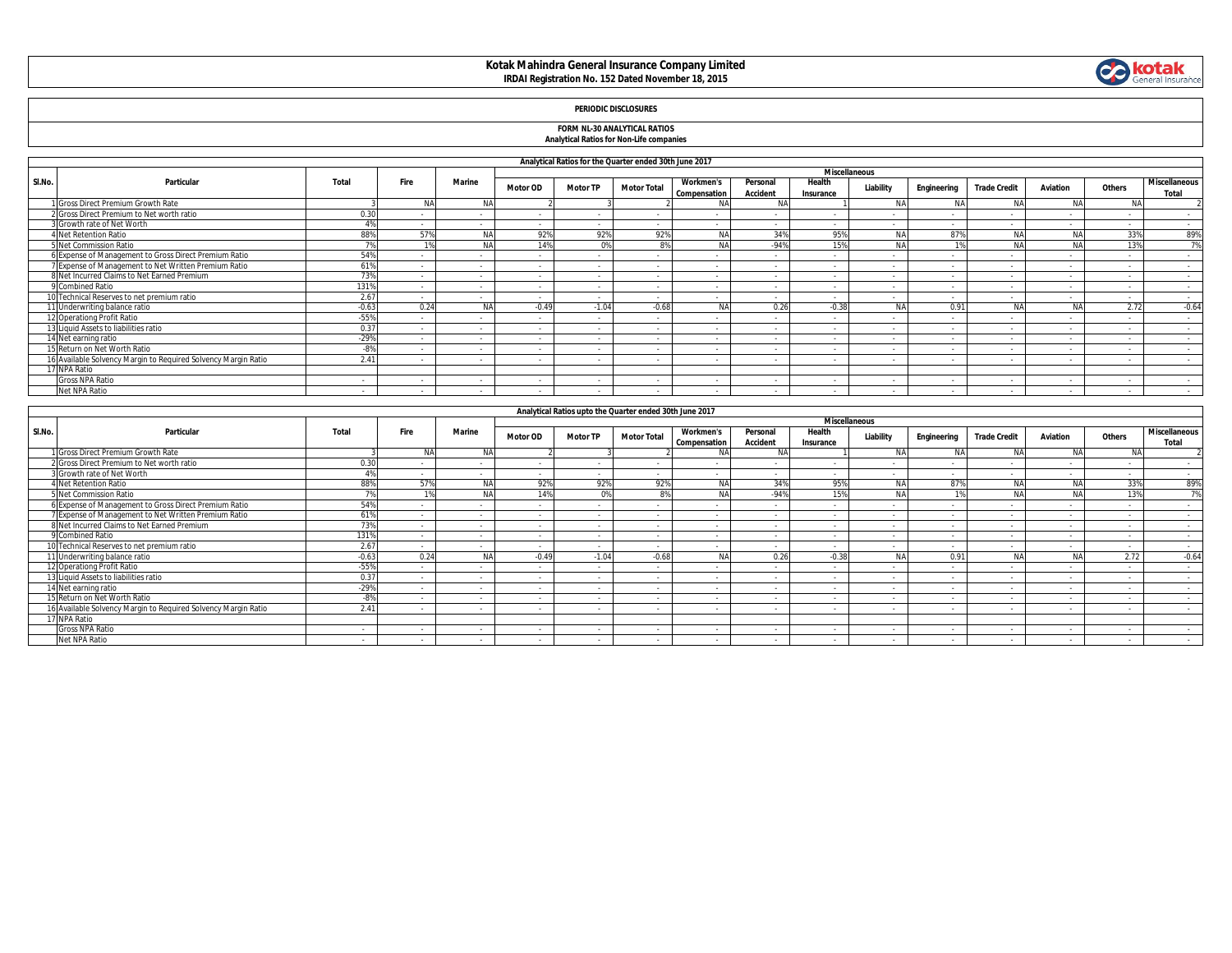### **Kotak Mahindra General Insurance Company Limited IRDAI Registration No. 152 Dated November 18, 2015**



## **FORM NL-30 ANALYTICAL RATIOS Analytical Ratios for Non-Life companies**

|  |  | <b>Analytical Ratios for Non-Life companies</b> |
|--|--|-------------------------------------------------|
|  |  |                                                 |
|  |  |                                                 |

|        |                                                                |                |           |            |                 |                          |                          |                                  |                             |                          | <b>Miscellaneous</b> |             |                     |                 |        |                               |
|--------|----------------------------------------------------------------|----------------|-----------|------------|-----------------|--------------------------|--------------------------|----------------------------------|-----------------------------|--------------------------|----------------------|-------------|---------------------|-----------------|--------|-------------------------------|
| SI.No. | Particular                                                     | Total          | Fire      | Marine     | <b>Motor OD</b> | <b>Motor TP</b>          | <b>Motor Total</b>       | <b>Workmen's</b><br>Compensation | Personal<br><b>Accident</b> | Health<br>Insurance      | Liability            | Engineering | <b>Trade Credit</b> | <b>Aviation</b> | Others | <b>Miscellaneous</b><br>Total |
|        | 1 Gross Direct Premium Growth Rate                             |                | <b>NA</b> | <b>NA</b>  |                 |                          |                          |                                  |                             |                          |                      |             | <b>NA</b>           | <b>AIA</b>      | N/     |                               |
|        | 2 Gross Direct Premium to Net worth ratio                      | 0.20           |           |            |                 | $\overline{\phantom{a}}$ | $\sim$                   |                                  |                             |                          |                      |             |                     | $\sim$          | $\sim$ | $\sim$                        |
|        | 3 Growth rate of Net Worth                                     | A <sub>0</sub> |           | $\sim$     | $\sim$          | $\sim$                   | $\sim$                   | $\sim$                           | $\sim$                      | $\sim$                   |                      |             |                     | $\sim$          | $\sim$ | $\sim$                        |
|        | 4 Net Retention Ratio                                          | 88%            | 57%       |            | 92%             | 92%                      | 92%                      | NA                               | 34%                         | 95%                      | <b>NA</b>            | 87%         | <b>NA</b>           |                 | 33%    | 89%                           |
|        | 5 Net Commission Ratio                                         | 7%             |           | <b>NIA</b> | 14%             | 0% I                     | 8%                       | <b>NA</b>                        | $-94%$                      | 15%                      | NA                   |             | <b>NA</b>           | NA              | 13%    | 7%                            |
|        | 6 Expense of Management to Gross Direct Premium Ratio          | 54%            |           | $\sim$     | $\sim$          | $\sim$                   | $\sim$                   | $\sim$                           | $\sim$                      | $\sim$                   | $\sim$               |             |                     | $\sim$          | $\sim$ | $\sim$                        |
|        | 7 Expense of Management to Net Written Premium Ratio           | 61%            |           |            |                 | $\sim$                   | $\sim$                   |                                  |                             | $\sim$                   |                      |             |                     | $\sim$          | $\sim$ | $\sim$                        |
|        | 8 Net Incurred Claims to Net Earned Premium                    | 73%            |           | $\sim$     | $\sim$          | $\sim$                   | $\sim$                   | <b>.</b>                         |                             | . .                      |                      |             |                     | $\sim$          | $\sim$ | $\sim$                        |
|        | 9 Combined Ratio                                               | 131%           |           |            |                 | $\sim$                   | $\sim$                   | $\sim$                           | <b>.</b>                    | $\sim$                   |                      |             |                     | $\sim$          | $\sim$ | $\sim$                        |
|        | 10 Technical Reserves to net premium ratio                     | 2.67           | $\sim$    | $\sim$     | $\sim$          | $\sim$                   | $\sim$                   | $\sim$                           | $\sim$                      | $\sim$                   | $\sim$               | $\sim$      | $\sim$              | $\sim$          | $\sim$ | $\sim$                        |
|        | 11 Underwriting balance ratio                                  | $-0.63$        | 0.24      |            | $-0.49$         | $-1.04$                  | $-0.68$                  | <b>NA</b>                        | 0.26                        | $-0.38$                  | <b>NA</b>            | 0.91        |                     |                 | 2.72   | $-0.64$                       |
|        | 12 Operationg Profit Ratio                                     | $-55%$         |           |            |                 | $\sim$                   | $\sim$                   |                                  |                             |                          |                      |             |                     | $\sim$          | $\sim$ | $\sim$                        |
|        | 13 Liquid Assets to liabilities ratio                          | 0.37           |           |            |                 | $\overline{\phantom{a}}$ | $\sim$                   |                                  |                             |                          |                      |             |                     | $\sim$          | $\sim$ | $\sim$                        |
|        | 14 Net earning ratio                                           | $-29%$         |           |            |                 | $\sim$                   | $\sim$                   | $\overline{\phantom{a}}$         |                             | $\overline{\phantom{a}}$ |                      |             |                     | $\sim$          | $\sim$ | $\sim$                        |
|        | 15 Return on Net Worth Ratio                                   | -8%            | $\sim$    | $\sim$     | $\sim$          | $\sim$                   | $\sim$                   | . .                              | $\sim$                      | . п.                     | $\sim$               |             | $\sim$              | $\sim$          | $\sim$ | $\sim$                        |
|        | 16 Available Solvency Margin to Reguired Solvency Margin Ratio | 2.41           |           |            |                 | $\sim$                   | $\overline{\phantom{a}}$ |                                  |                             | $\sim$                   |                      |             |                     | $\sim$          |        |                               |
|        | 17 NPA Ratio                                                   |                |           |            |                 |                          |                          |                                  |                             |                          |                      |             |                     |                 |        |                               |
|        | Gross NPA Ratio                                                |                |           |            |                 | $\overline{\phantom{a}}$ | $\sim$                   | . .                              |                             |                          |                      |             |                     | $\sim$          | $\sim$ | $\sim$                        |
|        | Net NPA Ratio                                                  |                |           |            |                 | $\sim$                   | $\sim$                   | . .                              |                             |                          |                      |             |                     | $\sim$          | $\sim$ |                               |

|       | Analytical Ratios upto the Quarter ended 30th June 2017       |         |            |               |                 |                 |                    |                                  |                             |                     |                      |             |                     |            |           |                               |
|-------|---------------------------------------------------------------|---------|------------|---------------|-----------------|-----------------|--------------------|----------------------------------|-----------------------------|---------------------|----------------------|-------------|---------------------|------------|-----------|-------------------------------|
|       |                                                               |         |            |               |                 |                 |                    |                                  |                             |                     | <b>Miscellaneous</b> |             |                     |            |           |                               |
| SI.No | Particular                                                    | Total   | Fire       | <b>Marine</b> | <b>Motor OD</b> | <b>Motor TP</b> | <b>Motor Total</b> | <b>Workmen's</b><br>Compensation | Personal<br><b>Accident</b> | Health<br>Insurance | Liability            | Engineering | <b>Trade Credit</b> | Aviation   | Others    | <b>Miscellaneous</b><br>Total |
|       | Gross Direct Premium Growth Rate                              |         | <b>AIA</b> | <b>NA</b>     |                 |                 |                    | <b>NA</b>                        | <b>NA</b>                   |                     | <b>NA</b>            | NА          | <b>NIA</b>          | NA         | <b>NA</b> |                               |
|       | 2 Gross Direct Premium to Net worth ratio                     | 0.30    |            |               |                 |                 |                    |                                  |                             |                     |                      |             |                     | $\sim$     | $\sim$    | $\sim$                        |
|       | <b>B</b> Growth rate of Net Worth                             |         |            |               |                 |                 |                    |                                  |                             |                     |                      |             |                     |            |           | $\sim$                        |
|       | <b>Net Retention Ratio</b>                                    | 88%     | 57%        | NA            | 92%             | 92%             | 92%                | <b>NA</b>                        | 34%                         | 95%                 | <b>NA</b>            | 87%         |                     | NA         | 33%       | 89%                           |
|       | 5 Net Commission Ratio                                        |         |            | <b>NIA</b>    | 14%             | 0%              | 8%                 | <b>NA</b>                        | $-94%$                      | 150                 | <b>NA</b>            |             |                     | NA         | 13%       | 7%                            |
|       | 6 Expense of Management to Gross Direct Premium Ratio         | 54%     | $\sim$     | $\sim$        | $\sim$          | $\sim$          | $\sim$             | $\sim$                           | $\sim$                      | $\sim$              | $\sim$               |             | $\sim$              | $\sim$     | $\sim$    | $\sim$ $-$                    |
|       | Expense of Management to Net Written Premium Ratio            | 61%     |            |               |                 |                 |                    |                                  |                             |                     |                      |             |                     |            |           | $\sim$                        |
|       | 8 Net Incurred Claims to Net Earned Premium                   | 73%     | $\sim$     | $\sim$        | $\sim$          | $\sim$          |                    |                                  | $\sim$                      | $\sim$              | $\sim$               |             | $\sim$              | $\sim$     |           | $\sim$                        |
|       | 9 Combined Ratio                                              | 131%    |            |               |                 | $\sim$          |                    |                                  |                             | $\sim$              |                      |             |                     | $\sim$     |           | $\sim$                        |
|       | 10 Technical Reserves to net premium ratio                    | 2.67    |            | $\sim$        |                 | $\sim$          | $\sim$             | $\sim$                           |                             | $\sim$              |                      |             | $\sim$              | $\sim$     | $\sim$    | $\sim$                        |
|       | 1 Underwriting balance ratio                                  | $-0.63$ | 0.24       |               | $-0.49$         | $-1.04$         | $-0.68$            | <b>AIA</b>                       | 0.26                        | $-0.38$             | <b>NIA</b>           | 0.91        |                     | <b>AIA</b> | 2.72      | $-0.64$                       |
|       | 2 Operationg Profit Ratio                                     | $-55%$  |            |               | $\sim$          | $\sim$          |                    |                                  |                             |                     |                      |             |                     | . .        |           | $\sim$                        |
|       | 3 Liquid Assets to liabilities ratio                          | 0.37    |            |               |                 | $\sim$          |                    |                                  |                             |                     |                      |             |                     | . .        |           | $\sim$                        |
|       | 14 Net earning ratio                                          | $-29%$  |            |               |                 | $\sim$          | $\sim$             |                                  |                             |                     |                      |             |                     | $\sim$     | $\sim$    | $\sim$                        |
|       | 5 Return on Net Worth Ratio                                   | n       | $\sim$     |               |                 | $\sim$          |                    |                                  |                             | $\sim$              |                      |             |                     | $\sim$     |           | $\sim$                        |
|       | 6 Available Solvency Margin to Required Solvency Margin Ratio | 2.41    |            |               |                 | $\sim$          |                    |                                  |                             |                     |                      |             |                     |            |           | $\sim$                        |
|       | 7 NPA Ratio                                                   |         |            |               |                 |                 |                    |                                  |                             |                     |                      |             |                     |            |           |                               |
|       | Gross NPA Ratio                                               |         | $\sim$     | $\sim$        | $\sim$          | $\sim$          | $\sim$             | $\sim$                           |                             | $\sim$              | $\sim$               |             | $\sim$              | $\sim$     | $\sim$    | $\sim$                        |
|       | Net NPA Ratio                                                 |         |            |               |                 |                 |                    |                                  |                             |                     |                      |             |                     |            |           |                               |